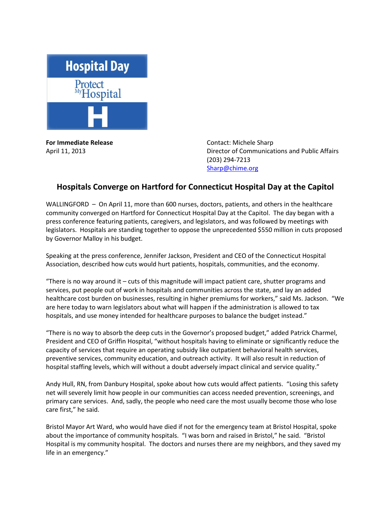

**For Immediate Release Contact: Michele Sharp** 

April 11, 2013 Director of Communications and Public Affairs (203) 294-7213 [Sharp@chime.org](mailto:Sharp@chime.org)

## **Hospitals Converge on Hartford for Connecticut Hospital Day at the Capitol**

WALLINGFORD – On April 11, more than 600 nurses, doctors, patients, and others in the healthcare community converged on Hartford for Connecticut Hospital Day at the Capitol. The day began with a press conference featuring patients, caregivers, and legislators, and was followed by meetings with legislators. Hospitals are standing together to oppose the unprecedented \$550 million in cuts proposed by Governor Malloy in his budget.

Speaking at the press conference, Jennifer Jackson, President and CEO of the Connecticut Hospital Association, described how cuts would hurt patients, hospitals, communities, and the economy.

"There is no way around it  $-$  cuts of this magnitude will impact patient care, shutter programs and services, put people out of work in hospitals and communities across the state, and lay an added healthcare cost burden on businesses, resulting in higher premiums for workers," said Ms. Jackson. "We are here today to warn legislators about what will happen if the administration is allowed to tax hospitals, and use money intended for healthcare purposes to balance the budget instead."

"There is no way to absorb the deep cuts in the Governor's proposed budget," added Patrick Charmel, President and CEO of Griffin Hospital, "without hospitals having to eliminate or significantly reduce the capacity of services that require an operating subsidy like outpatient behavioral health services, preventive services, community education, and outreach activity. It will also result in reduction of hospital staffing levels, which will without a doubt adversely impact clinical and service quality."

Andy Hull, RN, from Danbury Hospital, spoke about how cuts would affect patients. "Losing this safety net will severely limit how people in our communities can access needed prevention, screenings, and primary care services. And, sadly, the people who need care the most usually become those who lose care first," he said.

Bristol Mayor Art Ward, who would have died if not for the emergency team at Bristol Hospital, spoke about the importance of community hospitals. "I was born and raised in Bristol," he said. "Bristol Hospital is my community hospital. The doctors and nurses there are my neighbors, and they saved my life in an emergency."